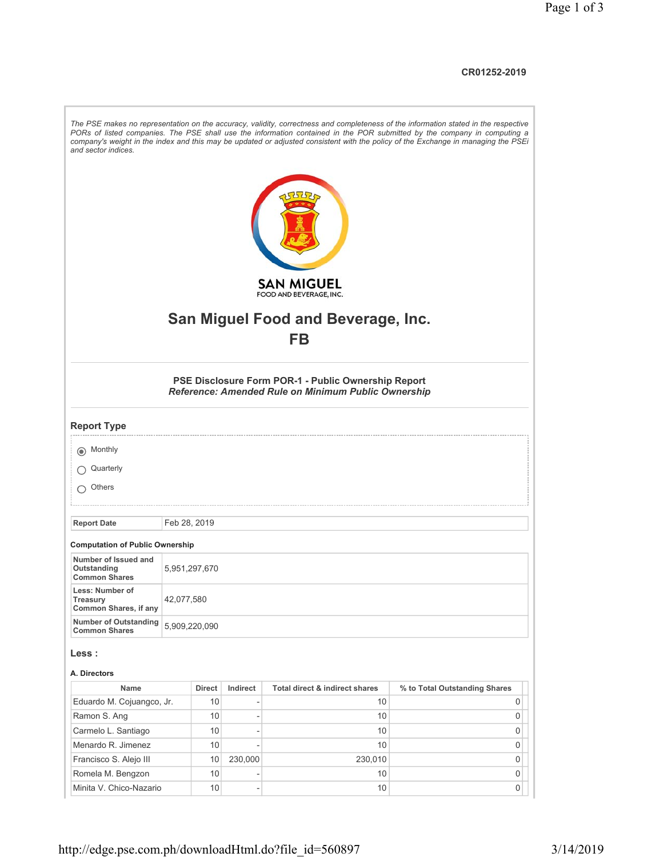## **CR01252-2019**

| and sector indices.                                            |              |               |                |                                                                                                            | The PSE makes no representation on the accuracy, validity, correctness and completeness of the information stated in the respective<br>PORs of listed companies. The PSE shall use the information contained in the POR submitted by the company in computing a<br>company's weight in the index and this may be updated or adjusted consistent with the policy of the Exchange in managing the PSEi |  |
|----------------------------------------------------------------|--------------|---------------|----------------|------------------------------------------------------------------------------------------------------------|------------------------------------------------------------------------------------------------------------------------------------------------------------------------------------------------------------------------------------------------------------------------------------------------------------------------------------------------------------------------------------------------------|--|
|                                                                |              |               |                | <b>SAN MIGUEL</b><br>FOOD AND BEVERAGE, INC.                                                               |                                                                                                                                                                                                                                                                                                                                                                                                      |  |
|                                                                |              |               |                |                                                                                                            |                                                                                                                                                                                                                                                                                                                                                                                                      |  |
|                                                                |              |               |                | <b>San Miguel Food and Beverage, Inc.</b>                                                                  |                                                                                                                                                                                                                                                                                                                                                                                                      |  |
|                                                                |              |               |                | <b>FB</b>                                                                                                  |                                                                                                                                                                                                                                                                                                                                                                                                      |  |
|                                                                |              |               |                |                                                                                                            |                                                                                                                                                                                                                                                                                                                                                                                                      |  |
|                                                                |              |               |                | PSE Disclosure Form POR-1 - Public Ownership Report<br>Reference: Amended Rule on Minimum Public Ownership |                                                                                                                                                                                                                                                                                                                                                                                                      |  |
| <b>Report Type</b>                                             |              |               |                |                                                                                                            |                                                                                                                                                                                                                                                                                                                                                                                                      |  |
| (a) Monthly                                                    |              |               |                |                                                                                                            |                                                                                                                                                                                                                                                                                                                                                                                                      |  |
| Quarterly                                                      |              |               |                |                                                                                                            |                                                                                                                                                                                                                                                                                                                                                                                                      |  |
| Others                                                         |              |               |                |                                                                                                            |                                                                                                                                                                                                                                                                                                                                                                                                      |  |
|                                                                |              |               |                |                                                                                                            |                                                                                                                                                                                                                                                                                                                                                                                                      |  |
| <b>Report Date</b>                                             | Feb 28, 2019 |               |                |                                                                                                            |                                                                                                                                                                                                                                                                                                                                                                                                      |  |
|                                                                |              |               |                |                                                                                                            |                                                                                                                                                                                                                                                                                                                                                                                                      |  |
| <b>Computation of Public Ownership</b><br>Number of Issued and |              |               |                |                                                                                                            |                                                                                                                                                                                                                                                                                                                                                                                                      |  |
| Outstanding<br><b>Common Shares</b>                            |              | 5,951,297,670 |                |                                                                                                            |                                                                                                                                                                                                                                                                                                                                                                                                      |  |
| Less: Number of<br>Treasury<br>Common Shares, if any           |              | 42,077,580    |                |                                                                                                            |                                                                                                                                                                                                                                                                                                                                                                                                      |  |
| <b>Number of Outstanding</b><br><b>Common Shares</b>           |              | 5,909,220,090 |                |                                                                                                            |                                                                                                                                                                                                                                                                                                                                                                                                      |  |
| Less :                                                         |              |               |                |                                                                                                            |                                                                                                                                                                                                                                                                                                                                                                                                      |  |
| A. Directors                                                   |              |               |                |                                                                                                            |                                                                                                                                                                                                                                                                                                                                                                                                      |  |
| Name                                                           |              | <b>Direct</b> | Indirect       | Total direct & indirect shares                                                                             | % to Total Outstanding Shares                                                                                                                                                                                                                                                                                                                                                                        |  |
| Eduardo M. Cojuangco, Jr.                                      |              | 10            | $\overline{a}$ | 10                                                                                                         | 0                                                                                                                                                                                                                                                                                                                                                                                                    |  |
| Ramon S. Ang                                                   |              | 10            | $\overline{a}$ | 10                                                                                                         | 0                                                                                                                                                                                                                                                                                                                                                                                                    |  |
| Carmelo L. Santiago                                            |              | 10            | ٠              | 10                                                                                                         | 0                                                                                                                                                                                                                                                                                                                                                                                                    |  |
| Menardo R. Jimenez                                             |              | 10            | Ĩ.             | 10 <sup>°</sup>                                                                                            | 0                                                                                                                                                                                                                                                                                                                                                                                                    |  |
| Francisco S. Alejo III                                         |              | 10            | 230,000        | 230,010                                                                                                    | 0                                                                                                                                                                                                                                                                                                                                                                                                    |  |
| Romela M. Bengzon                                              |              | 10            |                | 10 <sup>°</sup>                                                                                            | 0                                                                                                                                                                                                                                                                                                                                                                                                    |  |
| Minita V. Chico-Nazario                                        |              | 10            | $\overline{a}$ | 10                                                                                                         | 0                                                                                                                                                                                                                                                                                                                                                                                                    |  |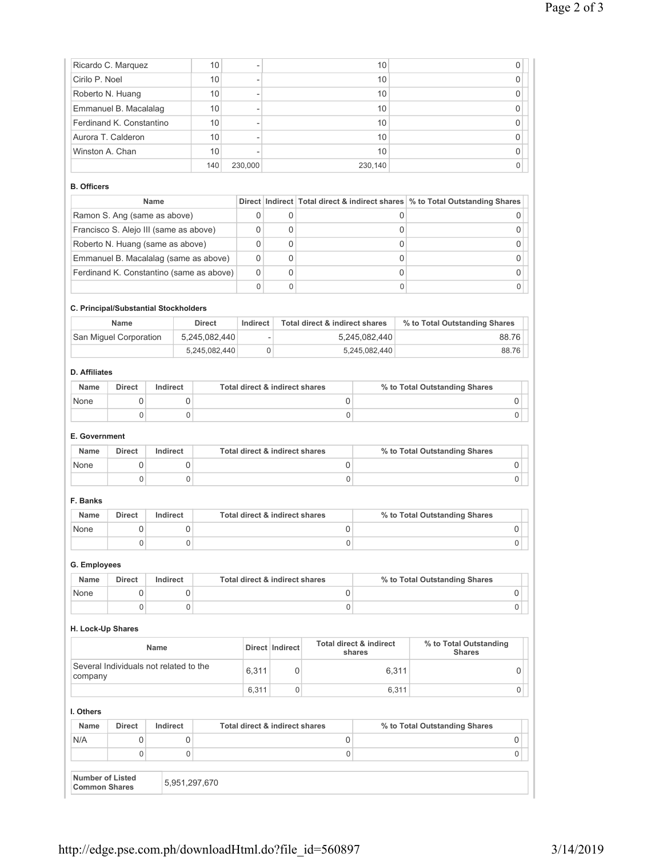| None                                                                      | $\mathsf 0$                                    |             | $\mathsf 0$ |                | $\mathsf 0$<br>$\overline{0}$ |                          |                                |                               | 0                                                                            |  |
|---------------------------------------------------------------------------|------------------------------------------------|-------------|-------------|----------------|-------------------------------|--------------------------|--------------------------------|-------------------------------|------------------------------------------------------------------------------|--|
| Name                                                                      | <b>Direct</b>                                  | Indirect    |             |                |                               |                          | Total direct & indirect shares | % to Total Outstanding Shares |                                                                              |  |
| G. Employees                                                              |                                                |             |             |                |                               |                          |                                |                               |                                                                              |  |
|                                                                           | $\mathbf{0}$                                   |             | $\mathbf 0$ |                |                               |                          | 0                              |                               | 0                                                                            |  |
| None                                                                      | $\mathbf 0$                                    |             | $\mathbf 0$ |                |                               |                          | 0                              |                               | 0                                                                            |  |
| Name                                                                      | <b>Direct</b>                                  | Indirect    |             |                |                               |                          | Total direct & indirect shares |                               | % to Total Outstanding Shares                                                |  |
| F. Banks                                                                  |                                                |             |             |                |                               |                          |                                |                               |                                                                              |  |
|                                                                           | 0                                              |             | $\mathbf 0$ |                | 0                             |                          |                                |                               | 0                                                                            |  |
| None                                                                      | 0                                              |             | 0           |                |                               |                          | 0                              |                               | 0                                                                            |  |
| <b>Name</b>                                                               | <b>Direct</b>                                  | Indirect    |             |                |                               |                          | Total direct & indirect shares |                               | % to Total Outstanding Shares                                                |  |
| E. Government                                                             |                                                |             |             |                |                               |                          |                                |                               |                                                                              |  |
|                                                                           | 0                                              |             | $\mathbf 0$ |                |                               |                          | $\mathbf 0$                    |                               | 0                                                                            |  |
| None                                                                      | 0                                              |             | 0           |                |                               |                          | 0                              |                               | 0                                                                            |  |
| Name                                                                      | <b>Direct</b>                                  | Indirect    |             |                |                               |                          | Total direct & indirect shares |                               | % to Total Outstanding Shares                                                |  |
| <b>D.</b> Affiliates                                                      |                                                |             |             |                |                               |                          |                                |                               |                                                                              |  |
|                                                                           | 5,245,082,440                                  |             |             | $\mathbf 0$    | 5,245,082,440                 |                          | 88.76                          |                               |                                                                              |  |
|                                                                           | San Miguel Corporation                         |             |             | 5,245,082,440  |                               | $\overline{\phantom{a}}$ | 5,245,082,440                  |                               | 88.76                                                                        |  |
|                                                                           | Name                                           |             |             | <b>Direct</b>  | Indirect                      |                          | Total direct & indirect shares |                               | % to Total Outstanding Shares                                                |  |
|                                                                           | C. Principal/Substantial Stockholders          |             |             |                |                               |                          |                                |                               |                                                                              |  |
|                                                                           |                                                |             |             |                | $\mathbf 0$                   | $\Omega$                 |                                | $\mathbf 0$                   | 0                                                                            |  |
| Ferdinand K. Constantino (same as above)                                  |                                                |             | 0           | 0              |                               | 0                        | 0                              |                               |                                                                              |  |
| Roberto N. Huang (same as above)<br>Emmanuel B. Macalalag (same as above) |                                                |             | 0           | 0              |                               | 0                        | 0                              |                               |                                                                              |  |
|                                                                           |                                                |             |             |                | 0                             | $\Omega$                 |                                | 0                             | 0                                                                            |  |
|                                                                           | Francisco S. Alejo III (same as above)         |             |             |                | 0                             | 0                        |                                | 0                             | 0                                                                            |  |
|                                                                           | Ramon S. Ang (same as above)                   | <b>Name</b> |             |                | $\mathbf 0$                   | 0                        |                                | 0                             | 0                                                                            |  |
| <b>B.</b> Officers                                                        |                                                |             |             |                |                               |                          |                                |                               | Direct Indirect Total direct & indirect shares % to Total Outstanding Shares |  |
|                                                                           |                                                |             |             |                |                               |                          |                                |                               |                                                                              |  |
|                                                                           |                                                |             |             | 140            | 230,000                       | ÷,                       |                                | 230,140                       | 0                                                                            |  |
| Winston A. Chan                                                           |                                                |             |             | 10             | ÷,                            |                          |                                | 10<br>10                      | 0                                                                            |  |
|                                                                           | Ferdinand K. Constantino<br>Aurora T. Calderon |             |             | 10<br>10       | $\overline{a}$                |                          |                                | 10                            | 0<br>$\mathbf 0$                                                             |  |
|                                                                           | Emmanuel B. Macalalag                          |             |             | 10             | -                             |                          |                                | 10                            | 0                                                                            |  |
| Roberto N. Huang                                                          |                                                | 10          |             | $\overline{a}$ |                               |                          | 10                             | 0                             |                                                                              |  |
| Cirilo P. Noel                                                            |                                                | 10          |             | $\overline{a}$ |                               |                          | 10                             | $\mathbf 0$                   |                                                                              |  |
|                                                                           | Ricardo C. Marquez                             | 10          |             | ÷,             |                               |                          | 10                             | 0                             |                                                                              |  |

## **H. Lock-Up Shares**

| <b>Name</b>                                       |       | Direct   Indirect | Total direct & indirect<br>shares | % to Total Outstanding<br><b>Shares</b> |
|---------------------------------------------------|-------|-------------------|-----------------------------------|-----------------------------------------|
| Several Individuals not related to the<br>company | 6.311 |                   | 6.311                             |                                         |
|                                                   | 6.311 |                   | 6.311                             |                                         |

| I. Others                                |               |               |                                |                               |  |  |  |
|------------------------------------------|---------------|---------------|--------------------------------|-------------------------------|--|--|--|
| <b>Name</b>                              | <b>Direct</b> | Indirect      | Total direct & indirect shares | % to Total Outstanding Shares |  |  |  |
| N/A                                      |               |               |                                |                               |  |  |  |
|                                          |               |               |                                |                               |  |  |  |
| Number of Listed<br><b>Common Shares</b> |               | 5,951,297,670 |                                |                               |  |  |  |